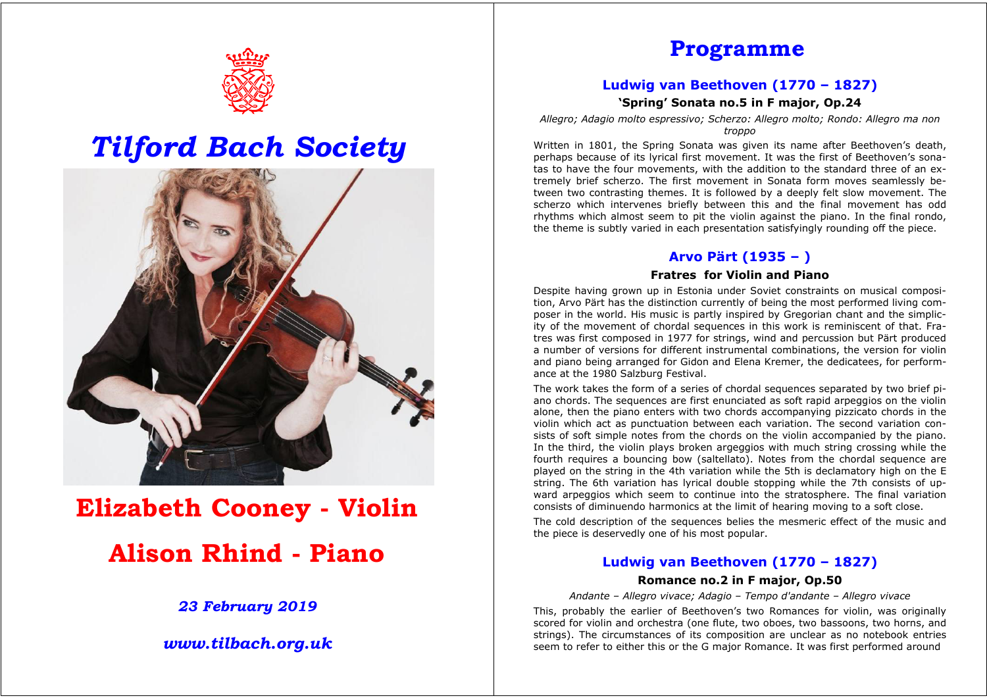

## *Tilford Bach Society*



# **Elizabeth Cooney - Violin Alison Rhind - Piano**

*23 February 2019* 

*www.tilbach.org.uk* 

### **Programme**

#### **Ludwig van Beethoven (1770 – 1827)**

**'Spring' Sonata no.5 in F major, Op.24** 

*Allegro; Adagio molto espressivo; Scherzo: Allegro molto; Rondo: Allegro ma non troppo* 

Written in 1801, the Spring Sonata was given its name after Beethoven's death, perhaps because of its lyrical first movement. It was the first of Beethoven's sonatas to have the four movements, with the addition to the standard three of an extremely brief scherzo. The first movement in Sonata form moves seamlessly between two contrasting themes. It is followed by a deeply felt slow movement. The scherzo which intervenes briefly between this and the final movement has odd rhythms which almost seem to pit the violin against the piano. In the final rondo, the theme is subtly varied in each presentation satisfyingly rounding off the piece.

#### **Arvo Pärt (1935 – )**

#### **Fratres for Violin and Piano**

Despite having grown up in Estonia under Soviet constraints on musical composition, Arvo Pärt has the distinction currently of being the most performed living composer in the world. His music is partly inspired by Gregorian chant and the simplicity of the movement of chordal sequences in this work is reminiscent of that. Fratres was first composed in 1977 for strings, wind and percussion but Pärt produced a number of versions for different instrumental combinations, the version for violin and piano being arranged for Gidon and Elena Kremer, the dedicatees, for performance at the 1980 Salzburg Festival.

The work takes the form of a series of chordal sequences separated by two brief piano chords. The sequences are first enunciated as soft rapid arpeggios on the violin alone, then the piano enters with two chords accompanying pizzicato chords in the violin which act as punctuation between each variation. The second variation consists of soft simple notes from the chords on the violin accompanied by the piano. In the third, the violin plays broken argeggios with much string crossing while the fourth requires a bouncing bow (saltellato). Notes from the chordal sequence are played on the string in the 4th variation while the 5th is declamatory high on the E string. The 6th variation has lyrical double stopping while the 7th consists of upward arpeggios which seem to continue into the stratosphere. The final variation consists of diminuendo harmonics at the limit of hearing moving to a soft close.

The cold description of the sequences belies the mesmeric effect of the music and the piece is deservedly one of his most popular.

#### **Ludwig van Beethoven (1770 – 1827)**

#### **Romance no.2 in F major, Op.50**

*Andante – Allegro vivace; Adagio – Tempo d'andante – Allegro vivace* 

This, probably the earlier of Beethoven's two Romances for violin, was originally scored for violin and orchestra (one flute, two oboes, two bassoons, two horns, and strings). The circumstances of its composition are unclear as no notebook entries seem to refer to either this or the G major Romance. It was first performed around